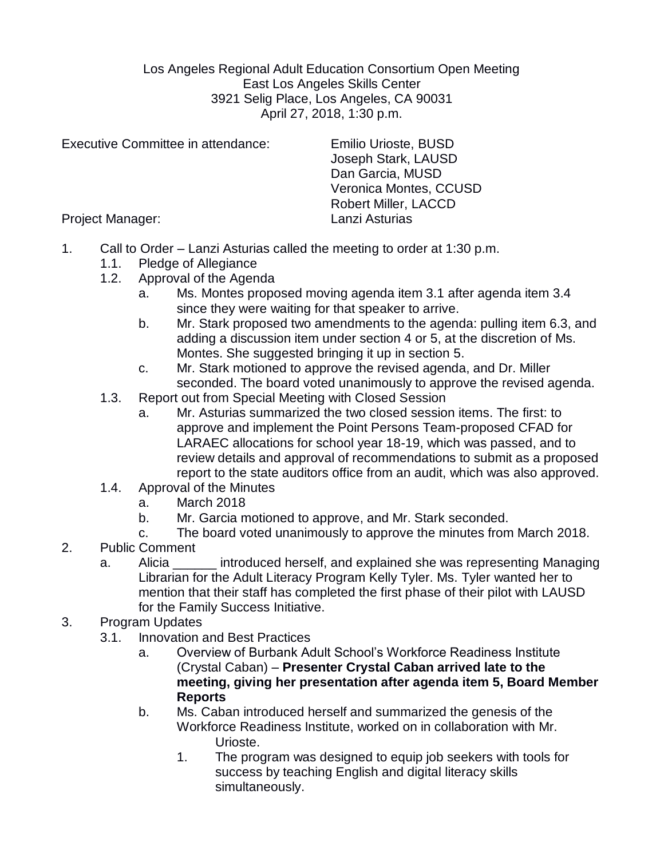Los Angeles Regional Adult Education Consortium Open Meeting East Los Angeles Skills Center 3921 Selig Place, Los Angeles, CA 90031 April 27, 2018, 1:30 p.m.

Executive Committee in attendance: Emilio Urioste, BUSD

Joseph Stark, LAUSD Dan Garcia, MUSD Veronica Montes, CCUSD Robert Miller, LACCD

Project Manager: Lanzi Asturias

- 1. Call to Order Lanzi Asturias called the meeting to order at 1:30 p.m.
	- 1.1. Pledge of Allegiance
	- 1.2. Approval of the Agenda
		- a. Ms. Montes proposed moving agenda item 3.1 after agenda item 3.4 since they were waiting for that speaker to arrive.
		- b. Mr. Stark proposed two amendments to the agenda: pulling item 6.3, and adding a discussion item under section 4 or 5, at the discretion of Ms. Montes. She suggested bringing it up in section 5.
		- c. Mr. Stark motioned to approve the revised agenda, and Dr. Miller seconded. The board voted unanimously to approve the revised agenda.
	- 1.3. Report out from Special Meeting with Closed Session
		- a. Mr. Asturias summarized the two closed session items. The first: to approve and implement the Point Persons Team-proposed CFAD for LARAEC allocations for school year 18-19, which was passed, and to review details and approval of recommendations to submit as a proposed report to the state auditors office from an audit, which was also approved.
	- 1.4. Approval of the Minutes
		- a. March 2018
		- b. Mr. Garcia motioned to approve, and Mr. Stark seconded.
		- c. The board voted unanimously to approve the minutes from March 2018.
- 2. Public Comment
	- a. Alicia **Exercice introduced herself, and explained she was representing Managing** Librarian for the Adult Literacy Program Kelly Tyler. Ms. Tyler wanted her to mention that their staff has completed the first phase of their pilot with LAUSD for the Family Success Initiative.
- 3. Program Updates
	- 3.1. Innovation and Best Practices
		- a. Overview of Burbank Adult School's Workforce Readiness Institute (Crystal Caban) – **Presenter Crystal Caban arrived late to the meeting, giving her presentation after agenda item 5, Board Member Reports**
		- b. Ms. Caban introduced herself and summarized the genesis of the Workforce Readiness Institute, worked on in collaboration with Mr. Urioste.
			- 1. The program was designed to equip job seekers with tools for success by teaching English and digital literacy skills simultaneously.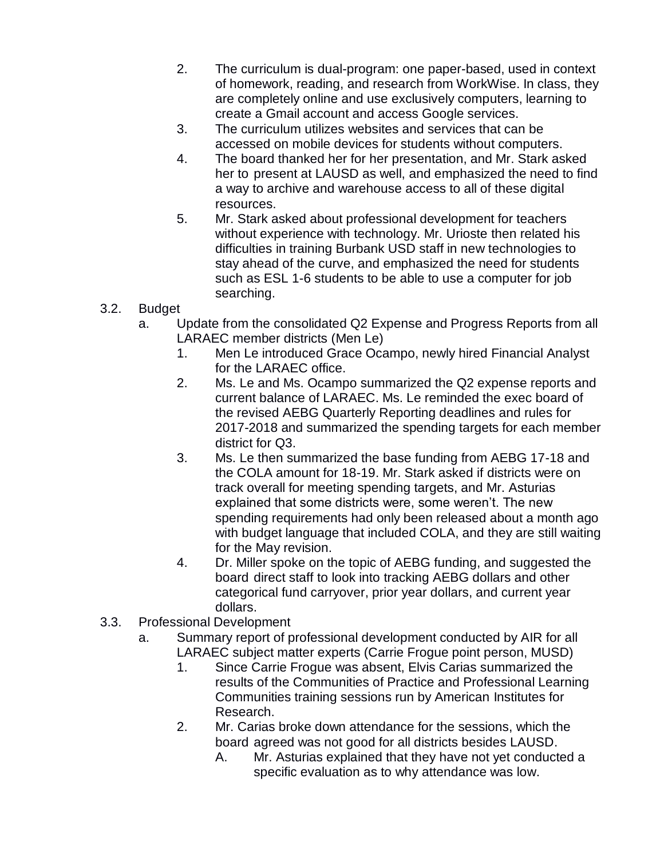- 2. The curriculum is dual-program: one paper-based, used in context of homework, reading, and research from WorkWise. In class, they are completely online and use exclusively computers, learning to create a Gmail account and access Google services.
- 3. The curriculum utilizes websites and services that can be accessed on mobile devices for students without computers.
- 4. The board thanked her for her presentation, and Mr. Stark asked her to present at LAUSD as well, and emphasized the need to find a way to archive and warehouse access to all of these digital resources.
- 5. Mr. Stark asked about professional development for teachers without experience with technology. Mr. Urioste then related his difficulties in training Burbank USD staff in new technologies to stay ahead of the curve, and emphasized the need for students such as ESL 1-6 students to be able to use a computer for job searching.
- 3.2. Budget
	- a. Update from the consolidated Q2 Expense and Progress Reports from all LARAEC member districts (Men Le)
		- 1. Men Le introduced Grace Ocampo, newly hired Financial Analyst for the LARAEC office.
		- 2. Ms. Le and Ms. Ocampo summarized the Q2 expense reports and current balance of LARAEC. Ms. Le reminded the exec board of the revised AEBG Quarterly Reporting deadlines and rules for 2017-2018 and summarized the spending targets for each member district for Q3.
		- 3. Ms. Le then summarized the base funding from AEBG 17-18 and the COLA amount for 18-19. Mr. Stark asked if districts were on track overall for meeting spending targets, and Mr. Asturias explained that some districts were, some weren't. The new spending requirements had only been released about a month ago with budget language that included COLA, and they are still waiting for the May revision.
		- 4. Dr. Miller spoke on the topic of AEBG funding, and suggested the board direct staff to look into tracking AEBG dollars and other categorical fund carryover, prior year dollars, and current year dollars.
- 3.3. Professional Development
	- a. Summary report of professional development conducted by AIR for all LARAEC subject matter experts (Carrie Frogue point person, MUSD)
		- 1. Since Carrie Frogue was absent, Elvis Carias summarized the results of the Communities of Practice and Professional Learning Communities training sessions run by American Institutes for Research.
		- 2. Mr. Carias broke down attendance for the sessions, which the board agreed was not good for all districts besides LAUSD.
			- A. Mr. Asturias explained that they have not yet conducted a specific evaluation as to why attendance was low.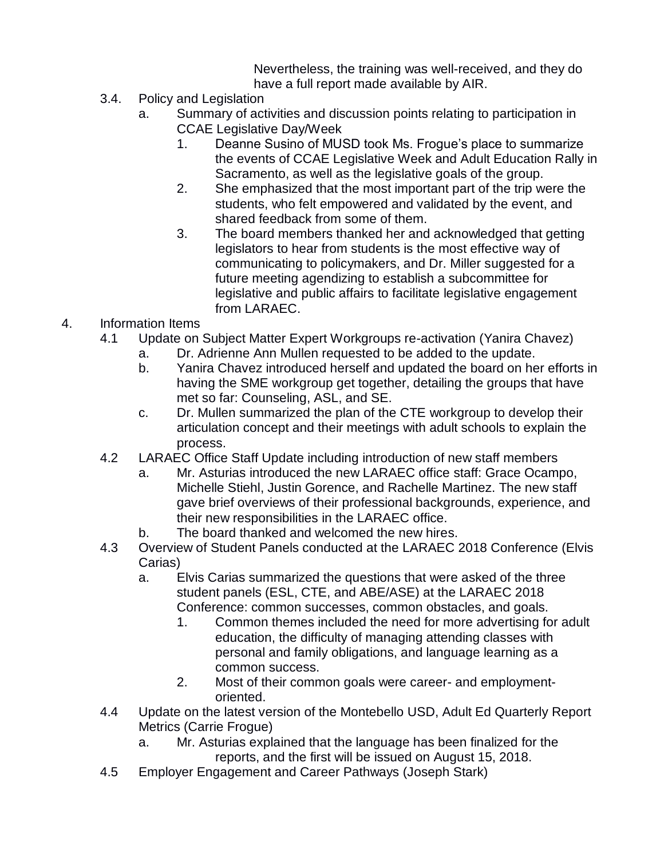Nevertheless, the training was well-received, and they do have a full report made available by AIR.

- 3.4. Policy and Legislation
	- a. Summary of activities and discussion points relating to participation in CCAE Legislative Day/Week
		- 1. Deanne Susino of MUSD took Ms. Frogue's place to summarize the events of CCAE Legislative Week and Adult Education Rally in Sacramento, as well as the legislative goals of the group.
		- 2. She emphasized that the most important part of the trip were the students, who felt empowered and validated by the event, and shared feedback from some of them.
		- 3. The board members thanked her and acknowledged that getting legislators to hear from students is the most effective way of communicating to policymakers, and Dr. Miller suggested for a future meeting agendizing to establish a subcommittee for legislative and public affairs to facilitate legislative engagement from LARAEC.
- 4. Information Items
	- 4.1 Update on Subject Matter Expert Workgroups re-activation (Yanira Chavez)
		- a. Dr. Adrienne Ann Mullen requested to be added to the update.
		- b. Yanira Chavez introduced herself and updated the board on her efforts in having the SME workgroup get together, detailing the groups that have met so far: Counseling, ASL, and SE.
		- c. Dr. Mullen summarized the plan of the CTE workgroup to develop their articulation concept and their meetings with adult schools to explain the process.
	- 4.2 LARAEC Office Staff Update including introduction of new staff members
		- a. Mr. Asturias introduced the new LARAEC office staff: Grace Ocampo, Michelle Stiehl, Justin Gorence, and Rachelle Martinez. The new staff gave brief overviews of their professional backgrounds, experience, and their new responsibilities in the LARAEC office.
		- b. The board thanked and welcomed the new hires.
	- 4.3 Overview of Student Panels conducted at the LARAEC 2018 Conference (Elvis Carias)
		- a. Elvis Carias summarized the questions that were asked of the three student panels (ESL, CTE, and ABE/ASE) at the LARAEC 2018 Conference: common successes, common obstacles, and goals.
			- 1. Common themes included the need for more advertising for adult education, the difficulty of managing attending classes with personal and family obligations, and language learning as a common success.
			- 2. Most of their common goals were career- and employmentoriented.
	- 4.4 Update on the latest version of the Montebello USD, Adult Ed Quarterly Report Metrics (Carrie Frogue)
		- a. Mr. Asturias explained that the language has been finalized for the reports, and the first will be issued on August 15, 2018.
	- 4.5 Employer Engagement and Career Pathways (Joseph Stark)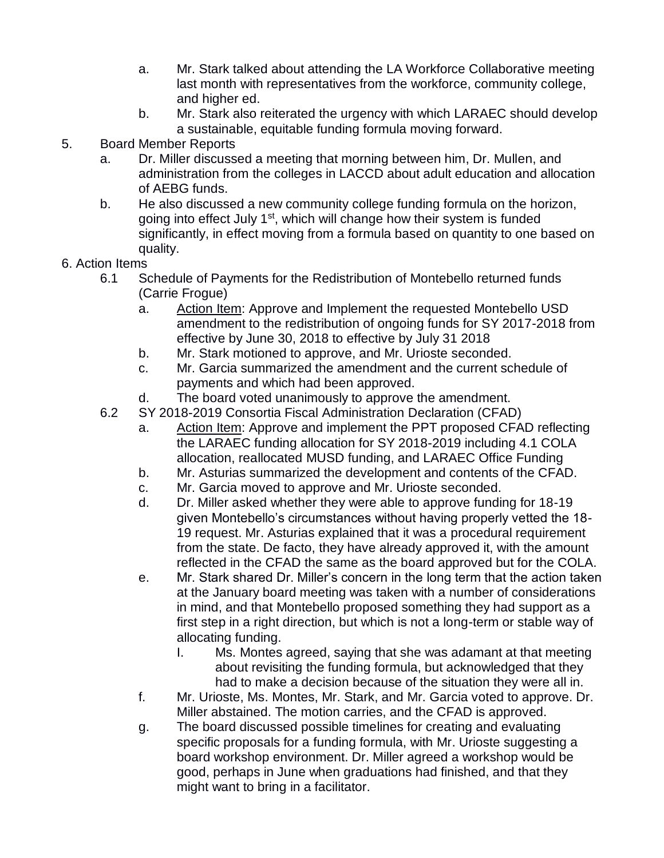- a. Mr. Stark talked about attending the LA Workforce Collaborative meeting last month with representatives from the workforce, community college, and higher ed.
- b. Mr. Stark also reiterated the urgency with which LARAEC should develop a sustainable, equitable funding formula moving forward.
- 5. Board Member Reports
	- a. Dr. Miller discussed a meeting that morning between him, Dr. Mullen, and administration from the colleges in LACCD about adult education and allocation of AEBG funds.
	- b. He also discussed a new community college funding formula on the horizon, going into effect July 1<sup>st</sup>, which will change how their system is funded significantly, in effect moving from a formula based on quantity to one based on quality.
- 6. Action Items
	- 6.1 Schedule of Payments for the Redistribution of Montebello returned funds (Carrie Frogue)
		- a. Action Item: Approve and Implement the requested Montebello USD amendment to the redistribution of ongoing funds for SY 2017-2018 from effective by June 30, 2018 to effective by July 31 2018
		- b. Mr. Stark motioned to approve, and Mr. Urioste seconded.
		- c. Mr. Garcia summarized the amendment and the current schedule of payments and which had been approved.
		- d. The board voted unanimously to approve the amendment.
	- 6.2 SY 2018-2019 Consortia Fiscal Administration Declaration (CFAD)
		- a. Action Item: Approve and implement the PPT proposed CFAD reflecting the LARAEC funding allocation for SY 2018-2019 including 4.1 COLA allocation, reallocated MUSD funding, and LARAEC Office Funding
		- b. Mr. Asturias summarized the development and contents of the CFAD.
		- c. Mr. Garcia moved to approve and Mr. Urioste seconded.
		- d. Dr. Miller asked whether they were able to approve funding for 18-19 given Montebello's circumstances without having properly vetted the 18- 19 request. Mr. Asturias explained that it was a procedural requirement from the state. De facto, they have already approved it, with the amount reflected in the CFAD the same as the board approved but for the COLA.
		- e. Mr. Stark shared Dr. Miller's concern in the long term that the action taken at the January board meeting was taken with a number of considerations in mind, and that Montebello proposed something they had support as a first step in a right direction, but which is not a long-term or stable way of allocating funding.
			- I. Ms. Montes agreed, saying that she was adamant at that meeting about revisiting the funding formula, but acknowledged that they had to make a decision because of the situation they were all in.
		- f. Mr. Urioste, Ms. Montes, Mr. Stark, and Mr. Garcia voted to approve. Dr. Miller abstained. The motion carries, and the CFAD is approved.
		- g. The board discussed possible timelines for creating and evaluating specific proposals for a funding formula, with Mr. Urioste suggesting a board workshop environment. Dr. Miller agreed a workshop would be good, perhaps in June when graduations had finished, and that they might want to bring in a facilitator.